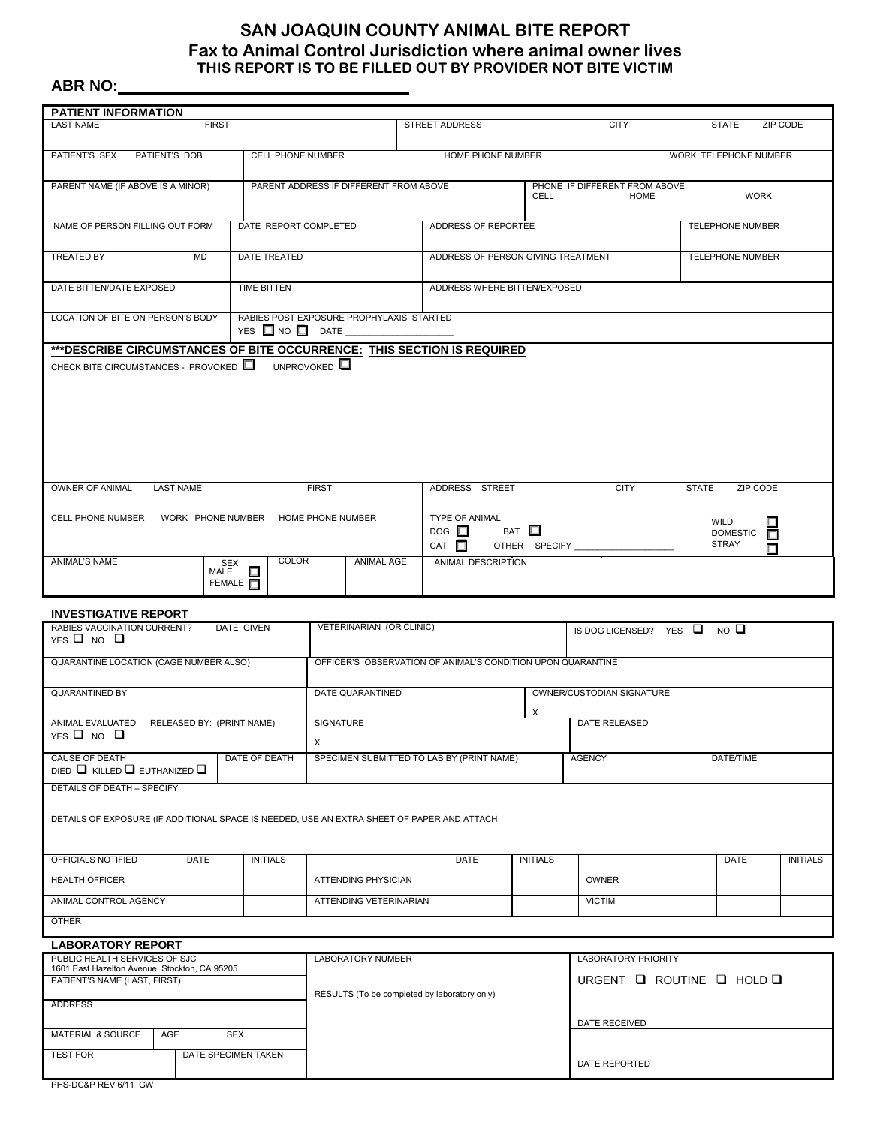## **SAN JOAQUIN COUNTY ANIMAL BITE REPORT Fax to Animal Control Jurisdiction where animal owner lives THIS REPORT IS TO BE FILLED OUT BY PROVIDER NOT BITE VICTIM**

## **ABR NO:**

| <b>PATIENT INFORMATION</b>                                                                                                              |  |                  |                        |                                                                              |                                                           |                   |  |                                                                                                    |                                                                        |               |                                                             |              |                                         |                  |
|-----------------------------------------------------------------------------------------------------------------------------------------|--|------------------|------------------------|------------------------------------------------------------------------------|-----------------------------------------------------------|-------------------|--|----------------------------------------------------------------------------------------------------|------------------------------------------------------------------------|---------------|-------------------------------------------------------------|--------------|-----------------------------------------|------------------|
| <b>LAST NAME</b><br><b>FIRST</b>                                                                                                        |  |                  |                        |                                                                              | <b>STREET ADDRESS</b>                                     |                   |  |                                                                                                    | <b>CITY</b>                                                            |               | <b>STATE</b>                                                | ZIP CODE     |                                         |                  |
| PATIENT'S SEX<br>PATIENT'S DOB<br>CELL PHONE NUMBER                                                                                     |  |                  |                        | HOME PHONE NUMBER                                                            |                                                           |                   |  |                                                                                                    | WORK TELEPHONE NUMBER                                                  |               |                                                             |              |                                         |                  |
| PARENT NAME (IF ABOVE IS A MINOR)                                                                                                       |  |                  |                        | PARENT ADDRESS IF DIFFERENT FROM ABOVE                                       |                                                           |                   |  | CELL                                                                                               |                                                                        |               | PHONE IF DIFFERENT FROM ABOVE<br><b>WORK</b><br><b>HOME</b> |              |                                         |                  |
| NAME OF PERSON FILLING OUT FORM                                                                                                         |  |                  |                        | DATE REPORT COMPLETED                                                        |                                                           |                   |  | ADDRESS OF REPORTEE                                                                                |                                                                        |               |                                                             |              | <b>TELEPHONE NUMBER</b>                 |                  |
| <b>TREATED BY</b><br><b>MD</b>                                                                                                          |  |                  |                        | DATE TREATED                                                                 |                                                           |                   |  | ADDRESS OF PERSON GIVING TREATMENT                                                                 |                                                                        |               |                                                             |              | <b>TELEPHONE NUMBER</b>                 |                  |
| DATE BITTEN/DATE EXPOSED                                                                                                                |  |                  |                        | <b>TIME BITTEN</b>                                                           |                                                           |                   |  | ADDRESS WHERE BITTEN/EXPOSED                                                                       |                                                                        |               |                                                             |              |                                         |                  |
| LOCATION OF BITE ON PERSON'S BODY                                                                                                       |  |                  |                        | RABIES POST EXPOSURE PROPHYLAXIS STARTED<br>YES $\Box$ NO $\Box$ DATE $\_\_$ |                                                           |                   |  |                                                                                                    |                                                                        |               |                                                             |              |                                         |                  |
| *** DESCRIBE CIRCUMSTANCES OF BITE OCCURRENCE: THIS SECTION IS REQUIRED<br>CHECK BITE CIRCUMSTANCES - PROVOKED $\Box$ UNPROVOKED $\Box$ |  |                  |                        |                                                                              |                                                           |                   |  |                                                                                                    |                                                                        |               |                                                             |              |                                         |                  |
| OWNER OF ANIMAL                                                                                                                         |  | <b>LAST NAME</b> |                        |                                                                              | <b>FIRST</b>                                              |                   |  | ADDRESS STREET                                                                                     |                                                                        |               | <b>CITY</b>                                                 | <b>STATE</b> | ZIP CODE                                |                  |
|                                                                                                                                         |  |                  |                        |                                                                              |                                                           |                   |  | <b>TYPE OF ANIMAL</b><br>BAT $\square$<br>$\overline{D}$ DOG $\Box$<br>$CAT \Box$<br>OTHER SPECIFY |                                                                        |               |                                                             |              | WILD<br><b>DOMESTIC</b><br><b>STRAY</b> | □<br>$\Box$<br>Π |
| ANIMAL'S NAME                                                                                                                           |  |                  | SEX<br>FEMALE <b>T</b> | <b>COLOR</b>                                                                 |                                                           | <b>ANIMAL AGE</b> |  | ANIMAL DESCRIPTION                                                                                 |                                                                        |               |                                                             |              |                                         |                  |
| <b>INVESTIGATIVE REPORT</b>                                                                                                             |  |                  |                        |                                                                              |                                                           |                   |  |                                                                                                    |                                                                        |               |                                                             |              |                                         |                  |
| RABIES VACCINATION CURRENT?<br>DATE GIVEN<br>YES $\Box$ NO $\Box$                                                                       |  |                  |                        | VETERINARIAN (OR CLINIC)                                                     |                                                           |                   |  |                                                                                                    | IS DOG LICENSED? YES $\Box$ NO $\Box$                                  |               |                                                             |              |                                         |                  |
| QUARANTINE LOCATION (CAGE NUMBER ALSO)                                                                                                  |  |                  |                        | OFFICER'S OBSERVATION OF ANIMAL'S CONDITION UPON QUARANTINE                  |                                                           |                   |  |                                                                                                    |                                                                        |               |                                                             |              |                                         |                  |
| <b>QUARANTINED BY</b>                                                                                                                   |  |                  |                        | DATE QUARANTINED                                                             |                                                           |                   |  |                                                                                                    | OWNER/CUSTODIAN SIGNATURE                                              |               |                                                             |              |                                         |                  |
| ANIMAL EVALUATED RELEASED BY: (PRINT NAME)                                                                                              |  |                  |                        |                                                                              | SIGNATURE                                                 |                   |  |                                                                                                    | Х                                                                      |               | <b>DATE RELEASED</b>                                        |              |                                         |                  |
| YES $\Box$ NO $\Box$<br><b>CAUSE OF DEATH</b><br>DATE OF DEATH                                                                          |  |                  |                        |                                                                              | $\mathsf{X}$<br>SPECIMEN SUBMITTED TO LAB BY (PRINT NAME) |                   |  |                                                                                                    |                                                                        |               | <b>AGENCY</b><br>DATE/TIME                                  |              |                                         |                  |
| DIED $\Box$ KILLED $\Box$ EUTHANIZED $\Box$<br><b>DETAILS OF DEATH - SPECIFY</b>                                                        |  |                  |                        |                                                                              |                                                           |                   |  |                                                                                                    |                                                                        |               |                                                             |              |                                         |                  |
|                                                                                                                                         |  |                  |                        |                                                                              |                                                           |                   |  |                                                                                                    |                                                                        |               |                                                             |              |                                         |                  |
| DETAILS OF EXPOSURE (IF ADDITIONAL SPACE IS NEEDED, USE AN EXTRA SHEET OF PAPER AND ATTACH                                              |  |                  |                        |                                                                              |                                                           |                   |  |                                                                                                    |                                                                        |               |                                                             |              |                                         |                  |
| OFFICIALS NOTIFIED                                                                                                                      |  | DATE             |                        | <b>INITIALS</b>                                                              |                                                           |                   |  | DATE                                                                                               | <b>INITIALS</b>                                                        |               |                                                             |              | DATE                                    | <b>INITIALS</b>  |
| <b>HEALTH OFFICER</b>                                                                                                                   |  |                  |                        |                                                                              | <b>ATTENDING PHYSICIAN</b>                                |                   |  |                                                                                                    |                                                                        |               | <b>OWNER</b>                                                |              |                                         |                  |
| ANIMAL CONTROL AGENCY                                                                                                                   |  |                  |                        |                                                                              | ATTENDING VETERINARIAN                                    |                   |  |                                                                                                    |                                                                        |               | <b>VICTIM</b>                                               |              |                                         |                  |
| <b>OTHER</b>                                                                                                                            |  |                  |                        |                                                                              |                                                           |                   |  |                                                                                                    |                                                                        |               |                                                             |              |                                         |                  |
| <b>LABORATORY REPORT</b>                                                                                                                |  |                  |                        |                                                                              |                                                           |                   |  |                                                                                                    |                                                                        |               |                                                             |              |                                         |                  |
| PUBLIC HEALTH SERVICES OF SJC<br>1601 East Hazelton Avenue, Stockton, CA 95205<br>PATIENT'S NAME (LAST, FIRST)                          |  |                  |                        | <b>LABORATORY NUMBER</b>                                                     |                                                           |                   |  |                                                                                                    | <b>LABORATORY PRIORITY</b><br>URGENT $\Box$ ROUTINE $\Box$ HOLD $\Box$ |               |                                                             |              |                                         |                  |
| <b>ADDRESS</b>                                                                                                                          |  |                  |                        | RESULTS (To be completed by laboratory only)                                 |                                                           |                   |  |                                                                                                    |                                                                        |               |                                                             |              |                                         |                  |
| MATERIAL & SOURCE<br>AGE<br><b>SEX</b>                                                                                                  |  |                  |                        |                                                                              |                                                           |                   |  |                                                                                                    |                                                                        | DATE RECEIVED |                                                             |              |                                         |                  |
| <b>TEST FOR</b><br>DATE SPECIMEN TAKEN                                                                                                  |  |                  |                        |                                                                              |                                                           |                   |  |                                                                                                    |                                                                        |               |                                                             |              |                                         |                  |

DATE REPORTED